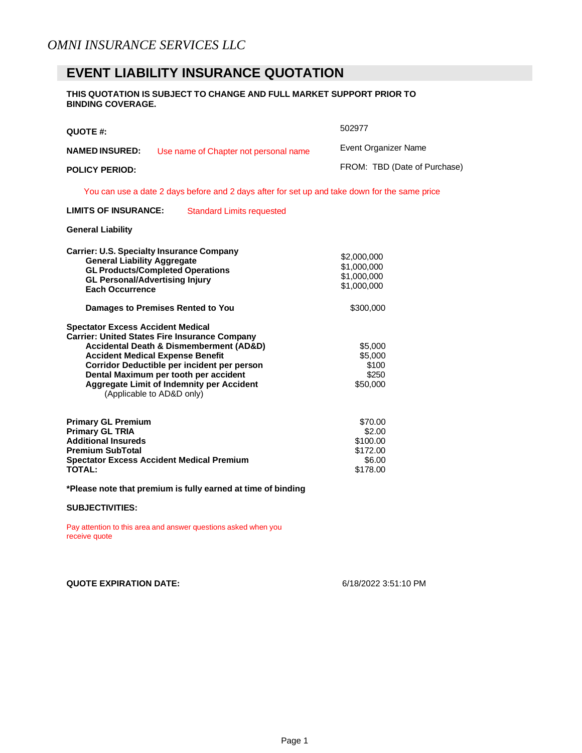## **EVENT LIABILITY INSURANCE QUOTATION**

#### **THIS QUOTATION IS SUBJECT TO CHANGE AND FULL MARKET SUPPORT PRIOR TO BINDING COVERAGE.**

| QUOTE #:                                                                                                                                                                                                                                                                                                                                                                                                                                                                                                                                                                                                             | 502977                                                                                                                    |
|----------------------------------------------------------------------------------------------------------------------------------------------------------------------------------------------------------------------------------------------------------------------------------------------------------------------------------------------------------------------------------------------------------------------------------------------------------------------------------------------------------------------------------------------------------------------------------------------------------------------|---------------------------------------------------------------------------------------------------------------------------|
| <b>NAMED INSURED:</b><br>Use name of Chapter not personal name                                                                                                                                                                                                                                                                                                                                                                                                                                                                                                                                                       | Event Organizer Name                                                                                                      |
| <b>POLICY PERIOD:</b>                                                                                                                                                                                                                                                                                                                                                                                                                                                                                                                                                                                                | FROM: TBD (Date of Purchase)                                                                                              |
| You can use a date 2 days before and 2 days after for set up and take down for the same price                                                                                                                                                                                                                                                                                                                                                                                                                                                                                                                        |                                                                                                                           |
| <b>LIMITS OF INSURANCE:</b><br><b>Standard Limits requested</b>                                                                                                                                                                                                                                                                                                                                                                                                                                                                                                                                                      |                                                                                                                           |
| <b>General Liability</b>                                                                                                                                                                                                                                                                                                                                                                                                                                                                                                                                                                                             |                                                                                                                           |
| <b>Carrier: U.S. Specialty Insurance Company</b><br><b>General Liability Aggregate</b><br><b>GL Products/Completed Operations</b><br><b>GL Personal/Advertising Injury</b><br><b>Each Occurrence</b><br>Damages to Premises Rented to You<br><b>Spectator Excess Accident Medical</b><br><b>Carrier: United States Fire Insurance Company</b><br><b>Accidental Death &amp; Dismemberment (AD&amp;D)</b><br><b>Accident Medical Expense Benefit</b><br>Corridor Deductible per incident per person<br>Dental Maximum per tooth per accident<br>Aggregate Limit of Indemnity per Accident<br>(Applicable to AD&D only) | \$2,000,000<br>\$1,000,000<br>\$1,000,000<br>\$1,000,000<br>\$300,000<br>\$5,000<br>\$5,000<br>\$100<br>\$250<br>\$50,000 |
| <b>Primary GL Premium</b><br><b>Primary GL TRIA</b><br><b>Additional Insureds</b><br><b>Premium SubTotal</b><br><b>Spectator Excess Accident Medical Premium</b><br><b>TOTAL:</b>                                                                                                                                                                                                                                                                                                                                                                                                                                    | \$70.00<br>\$2.00<br>\$100.00<br>\$172.00<br>\$6.00<br>\$178.00                                                           |

**\*Please note that premium is fully earned at time of binding** 

#### **SUBJECTIVITIES:**

Pay attention to this area and answer questions asked when you receive quote

### **QUOTE EXPIRATION DATE:** 6/18/2022 3:51:10 PM